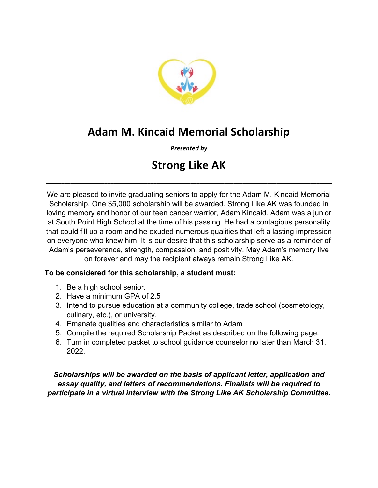

# **Adam M. Kincaid Memorial Scholarship**

*Presented by*

# **Strong Like AK**

**\_\_\_\_\_\_\_\_\_\_\_\_\_\_\_\_\_\_\_\_\_\_\_\_\_\_\_\_\_\_\_\_\_\_\_\_\_\_\_\_\_\_\_\_\_\_\_\_\_\_\_\_\_\_\_\_\_\_\_\_\_\_\_\_\_\_\_\_\_\_\_\_\_\_\_\_\_\_\_\_\_\_\_\_\_\_\_\_\_\_\_\_\_**

We are pleased to invite graduating seniors to apply for the Adam M. Kincaid Memorial Scholarship. One \$5,000 scholarship will be awarded. Strong Like AK was founded in loving memory and honor of our teen cancer warrior, Adam Kincaid. Adam was a junior at South Point High School at the time of his passing. He had a contagious personality that could fill up a room and he exuded numerous qualities that left a lasting impression on everyone who knew him. It is our desire that this scholarship serve as a reminder of Adam's perseverance, strength, compassion, and positivity. May Adam's memory live on forever and may the recipient always remain Strong Like AK.

# **To be considered for this scholarship, a student must:**

- 1. Be a high school senior.
- 2. Have a minimum GPA of 2.5
- 3. Intend to pursue education at a community college, trade school (cosmetology, culinary, etc.), or university.
- 4. Emanate qualities and characteristics similar to Adam
- 5. Compile the required Scholarship Packet as described on the following page.
- 6. Turn in completed packet to school guidance counselor no later than March 31, 2022.

*Scholarships will be awarded on the basis of applicant letter, application and essay quality, and letters of recommendations. Finalists will be required to participate in a virtual interview with the Strong Like AK Scholarship Committee.*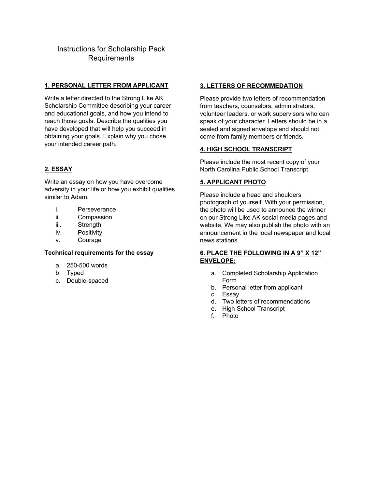# Instructions for Scholarship Pack Requirements

### **1. PERSONAL LETTER FROM APPLICANT**

Write a letter directed to the Strong Like AK Scholarship Committee describing your career and educational goals, and how you intend to reach those goals. Describe the qualities you have developed that will help you succeed in obtaining your goals. Explain why you chose your intended career path.

# **2. ESSAY**

Write an essay on how you have overcome adversity in your life or how you exhibit qualities similar to Adam:

- i. Perseverance
- ii. Compassion
- iii. Strength
- iv. Positivity
- v. Courage

#### **Technical requirements for the essay**

- a. 250-500 words
- b. Typed
- c. Double-spaced

### **3. LETTERS OF RECOMMEDATION**

Please provide two letters of recommendation from teachers, counselors, administrators, volunteer leaders, or work supervisors who can speak of your character. Letters should be in a sealed and signed envelope and should not come from family members or friends.

# **4. HIGH SCHOOL TRANSCRIPT**

Please include the most recent copy of your North Carolina Public School Transcript.

# **5. APPLICANT PHOTO**

Please include a head and shoulders photograph of yourself. With your permission, the photo will be used to announce the winner on our Strong Like AK social media pages and website. We may also publish the photo with an announcement in the local newspaper and local news stations.

# **6. PLACE THE FOLLOWING IN A 9" X 12" ENVELOPE:**

- a. Completed Scholarship Application Form
- b. Personal letter from applicant
- c. Essay
- d. Two letters of recommendations
- e. High School Transcript
- f. Photo